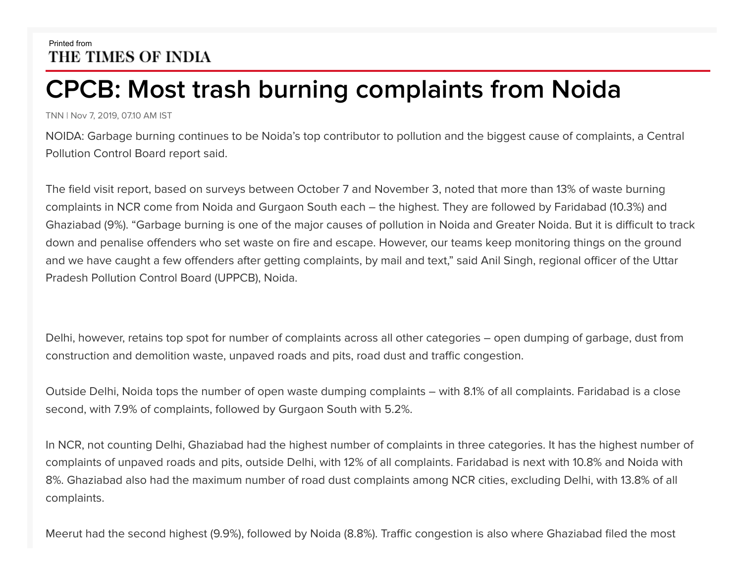## Printed from THE TIMES OF INDIA

## **CPCB: Most trash burning complaints from Noida**

TNN | Nov 7, 2019, 07.10 AM IST

NOIDA: Garbage burning continues to be Noida's top contributor to pollution and the biggest cause of complaints, a Central Pollution Control Board report said.

The field visit report, based on surveys between October 7 and November 3, noted that more than 13% of waste burning complaints in NCR come from Noida and Gurgaon South each – the highest. They are followed by Faridabad (10.3%) and Ghaziabad (9%). "Garbage burning is one of the major causes of pollution in Noida and Greater Noida. But it is difficult to track down and penalise offenders who set waste on fire and escape. However, our teams keep monitoring things on the ground and we have caught a few offenders after getting complaints, by mail and text," said Anil Singh, regional officer of the Uttar Pradesh Pollution Control Board (UPPCB), Noida.

Delhi, however, retains top spot for number of complaints across all other categories – open dumping of garbage, dust from construction and demolition waste, unpaved roads and pits, road dust and traffic congestion.

Outside Delhi, Noida tops the number of open waste dumping complaints – with 8.1% of all complaints. Faridabad is a close second, with 7.9% of complaints, followed by Gurgaon South with 5.2%.

In NCR, not counting Delhi, Ghaziabad had the highest number of complaints in three categories. It has the highest number of complaints of unpaved roads and pits, outside Delhi, with 12% of all complaints. Faridabad is next with 10.8% and Noida with 8%. Ghaziabad also had the maximum number of road dust complaints among NCR cities, excluding Delhi, with 13.8% of all complaints.

Meerut had the second highest (9.9%), followed by Noida (8.8%). Traffic congestion is also where Ghaziabad filed the most